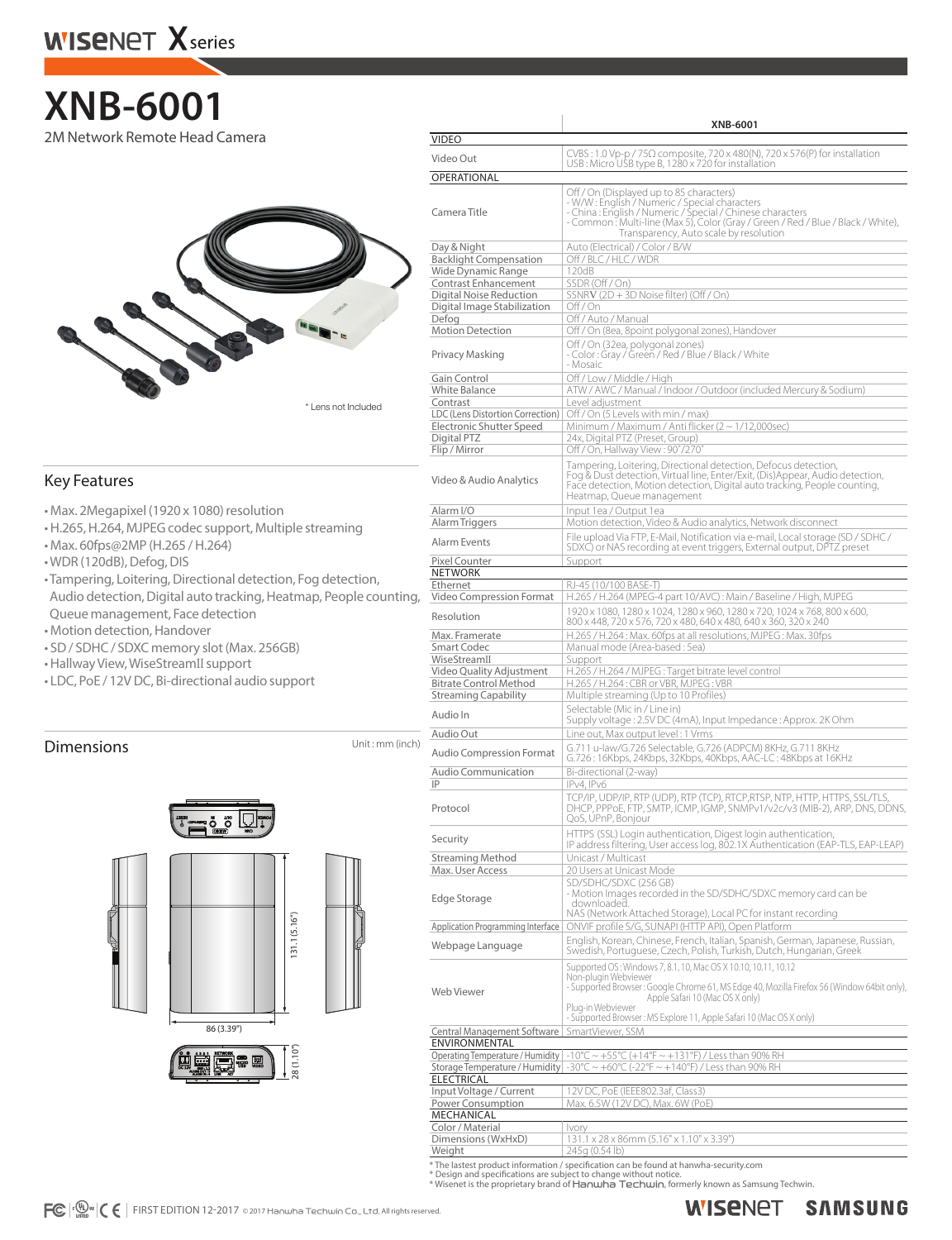## **XNB-6001** 2M Network Remote Head Camera



## Key Features

- Max. 2Megapixel (1920 x 1080) resolution
- H.265, H.264, MJPEG codec support, Multiple streaming
- Max. 60fps@2MP (H.265 / H.264)
- WDR (120dB), Defog, DIS
- Tampering, Loitering, Directional detection, Fog detection, Audio detection, Digital auto tracking, Heatmap, People counting, Queue management, Face detection
- Motion detection, Handover
- SD / SDHC / SDXC memory slot (Max. 256GB)
- Hallway View, WiseStreamII support
- LDC, PoE / 12V DC, Bi-directional audio support

## **Dimensions** Unit: mm (inch)



|                                                           | XNB-6001                                                                                                                                                                                                                                                                             |  |  |  |  |
|-----------------------------------------------------------|--------------------------------------------------------------------------------------------------------------------------------------------------------------------------------------------------------------------------------------------------------------------------------------|--|--|--|--|
| <b>VIDEO</b>                                              |                                                                                                                                                                                                                                                                                      |  |  |  |  |
| Video Out                                                 | $CVBS: 1.0 Vp-p / 75\Omega$ composite, 720 x 480(N), 720 x 576(P) for installation<br>USB: Micro USB type B, 1280 x 720 for installation                                                                                                                                             |  |  |  |  |
| OPERATIONAL                                               |                                                                                                                                                                                                                                                                                      |  |  |  |  |
| Camera Title                                              | Off / On (Displayed up to 85 characters)<br>- W/W: English / Numeric / Special characters<br>- China: English / Numeric / Special / Chinese characters<br>- Common: Multi-line (Max 5), Color (Gray / Green / Red / Blue / Black / White),<br>Transparency, Auto scale by resolution |  |  |  |  |
| Day & Night                                               | Auto (Electrical) / Color / B/W                                                                                                                                                                                                                                                      |  |  |  |  |
| <b>Backlight Compensation</b><br>Wide Dynamic Range       | Off / BLC / HLC / WDR<br>120dB                                                                                                                                                                                                                                                       |  |  |  |  |
| Contrast Enhancement                                      | SSDR (Off / On)                                                                                                                                                                                                                                                                      |  |  |  |  |
| Digital Noise Reduction                                   | SSNRV (2D + 3D Noise filter) (Off / On)                                                                                                                                                                                                                                              |  |  |  |  |
| Digital Image Stabilization                               | Off / On                                                                                                                                                                                                                                                                             |  |  |  |  |
| Defog                                                     | Off / Auto / Manual<br>Off / On (8ea, 8point polygonal zones), Handover                                                                                                                                                                                                              |  |  |  |  |
| <b>Motion Detection</b>                                   | Off / On (32ea, polygonal zones)                                                                                                                                                                                                                                                     |  |  |  |  |
| Privacy Masking                                           | - Color : Gray / Green / Red / Blue / Black / White<br>- Mosaic                                                                                                                                                                                                                      |  |  |  |  |
| Gain Control                                              | Off / Low / Middle / High                                                                                                                                                                                                                                                            |  |  |  |  |
| White Balance<br>Contrast                                 | ATW / AWC / Manual / Indoor / Outdoor (included Mercury & Sodium)<br>Level adjustment                                                                                                                                                                                                |  |  |  |  |
| LDC (Lens Distortion Correction)                          | Off / On (5 Levels with min / max)                                                                                                                                                                                                                                                   |  |  |  |  |
| Electronic Shutter Speed                                  | Minimum / Maximum / Anti flicker (2 ~ 1/12,000sec)                                                                                                                                                                                                                                   |  |  |  |  |
| Digital PTZ                                               | 24x, Digital PTZ (Preset, Group)                                                                                                                                                                                                                                                     |  |  |  |  |
| Flip / Mirror                                             | Off / On, Hallway View: 90°/270°                                                                                                                                                                                                                                                     |  |  |  |  |
| Video & Audio Analytics                                   | Tampering, Loitering, Directional detection, Defocus detection,<br>Fog & Dust detection, Virtual line, Enter/Exit, (Dis)Appear, Audio detection,<br>Face detection, Motion detection, Digital auto tracking, People counting,<br>Heatmap, Queue management                           |  |  |  |  |
| Alarm I/O                                                 | Input 1ea / Output 1ea                                                                                                                                                                                                                                                               |  |  |  |  |
| Alarm Triggers                                            | Motion detection, Video & Audio analytics, Network disconnect<br>File upload Via FTP, E-Mail, Notification via e-mail, Local storage (SD / SDHC /                                                                                                                                    |  |  |  |  |
| Alarm Events<br>Pixel Counter                             | SDXC) or NAS recording at event triggers, External output, DPTZ preset<br>Support                                                                                                                                                                                                    |  |  |  |  |
| NETWORK                                                   |                                                                                                                                                                                                                                                                                      |  |  |  |  |
| Ethernet                                                  | RJ-45 (10/100 BASE-T)                                                                                                                                                                                                                                                                |  |  |  |  |
| Video Compression Format                                  | H.265 / H.264 (MPEG-4 part 10/AVC): Main / Baseline / High, MJPEG                                                                                                                                                                                                                    |  |  |  |  |
| Resolution                                                | 1920 x 1080, 1280 x 1024, 1280 x 960, 1280 x 720, 1024 x 768, 800 x 600,<br>800 x 448, 720 x 576, 720 x 480, 640 x 480, 640 x 360, 320 x 240                                                                                                                                         |  |  |  |  |
| Max. Framerate                                            | H.265 / H.264: Max. 60fps at all resolutions, MJPEG: Max. 30fps                                                                                                                                                                                                                      |  |  |  |  |
| <b>Smart Codec</b>                                        | Manual mode (Area-based: 5ea)                                                                                                                                                                                                                                                        |  |  |  |  |
| WiseStreamII                                              | Support                                                                                                                                                                                                                                                                              |  |  |  |  |
| Video Quality Adjustment<br><b>Bitrate Control Method</b> | H.265 / H.264 / MJPEG: Target bitrate level control<br>H.265 / H.264 : CBR or VBR, MJPEG : VBR                                                                                                                                                                                       |  |  |  |  |
| <b>Streaming Capability</b>                               | Multiple streaming (Up to 10 Profiles)                                                                                                                                                                                                                                               |  |  |  |  |
| Audio In                                                  | Selectable (Mic in / Line in)                                                                                                                                                                                                                                                        |  |  |  |  |
|                                                           | Supply voltage: 2.5V DC (4mA), Input Impedance: Approx. 2K Ohm                                                                                                                                                                                                                       |  |  |  |  |
| Audio Out                                                 | Line out, Max output level: 1 Vrms                                                                                                                                                                                                                                                   |  |  |  |  |
| <b>Audio Compression Format</b><br>Audio Communication    | G.711 u-law/G.726 Selectable, G.726 (ADPCM) 8KHz, G.711 8KHz<br>G.726: 16Kbps, 24Kbps, 32Kbps, 40Kbps, AAC-LC: 48Kbps at 16KHz<br>Bi-directional (2-way)                                                                                                                             |  |  |  |  |
| IP                                                        | IPv4, IPv6<br>TCP/IP, UDP/IP, RTP (UDP), RTP (TCP), RTCP,RTSP, NTP, HTTP, HTTPS, SSL/TLS,                                                                                                                                                                                            |  |  |  |  |
| Protocol                                                  | DHCP, PPPOE, FTP, SMTP, ICMP, IGMP, SNMPv1/v2c/v3 (MIB-2), ARP, DNS, DDNS,<br>QoS, UPnP, Bonjour                                                                                                                                                                                     |  |  |  |  |
| Security<br><b>Streaming Method</b>                       | HTTPS (SSL) Login authentication, Digest login authentication,<br>IP address filtering, User access log, 802.1X Authentication (EAP-TLS, EAP-LEAP)<br>Unicast / Multicast                                                                                                            |  |  |  |  |
| Max. User Access                                          | 20 Users at Unicast Mode                                                                                                                                                                                                                                                             |  |  |  |  |
| Edge Storage                                              | SD/SDHC/SDXC (256 GB)<br>- Motion Images recorded in the SD/SDHC/SDXC memory card can be<br>downloaded.                                                                                                                                                                              |  |  |  |  |
| Application Programming Interface                         | NAS (Network Attached Storage), Local PC for instant recording<br>ONVIF profile S/G, SUNAPI (HTTP API), Open Platform                                                                                                                                                                |  |  |  |  |
| Webpage Language                                          | English, Korean, Chinese, French, Italian, Spanish, German, Japanese, Russian,<br>Swedish, Portuguese, Czech, Polish, Turkish, Dutch, Hungarian, Greek                                                                                                                               |  |  |  |  |
| Web Viewer                                                | Supported OS: Windows 7, 8.1, 10, Mac OS X 10.10, 10.11, 10.12<br>Non-plugin Webviewer<br>- Supported Browser : Google Chrome 61, MS Edge 40, Mozilla Firefox 56 (Window 64bit only),<br>Apple Safari 10 (Mac OS X only)                                                             |  |  |  |  |
|                                                           | Plua-in Webviewer<br>- Supported Browser: MS Explore 11, Apple Safari 10 (Mac OS X only)                                                                                                                                                                                             |  |  |  |  |
| Central Management Software<br>ENVIRONMENTAL              | SmartViewer, SSM                                                                                                                                                                                                                                                                     |  |  |  |  |
| Operating Temperature / Humidity                          | -10°C ~ +55°C (+14°F ~ +131°F) / Less than 90% RH                                                                                                                                                                                                                                    |  |  |  |  |
|                                                           | Storage Temperature / Humidity $\vert$ -30°C $\sim$ +60°C (-22°F $\sim$ +140°F) / Less than 90% RH                                                                                                                                                                                   |  |  |  |  |
| <b>ELECTRICAL</b>                                         |                                                                                                                                                                                                                                                                                      |  |  |  |  |
| Input Voltage / Current<br>Power Consumption              | 12V DC, PoE (IEEE802.3af, Class3)<br>Max. 6.5W (12V DC), Max. 6W (PoE)                                                                                                                                                                                                               |  |  |  |  |
| MECHANICAL                                                |                                                                                                                                                                                                                                                                                      |  |  |  |  |
| Color / Material                                          | Ivory                                                                                                                                                                                                                                                                                |  |  |  |  |
| Dimensions (WxHxD)                                        | 131.1 x 28 x 86mm (5.16" x 1.10" x 3.39")                                                                                                                                                                                                                                            |  |  |  |  |

\* The lastest product information / specification can be found at hanwha-security.com

Weight 245g (0.54 lb)

\* Design and specifications are subject to change without notice.<br>\* Wisenet is the proprietary brand of **Ha∩wha Te⊂hwi∩**, formerly known as Samsung Techwin.

#### **SAMSUNG WISENET**